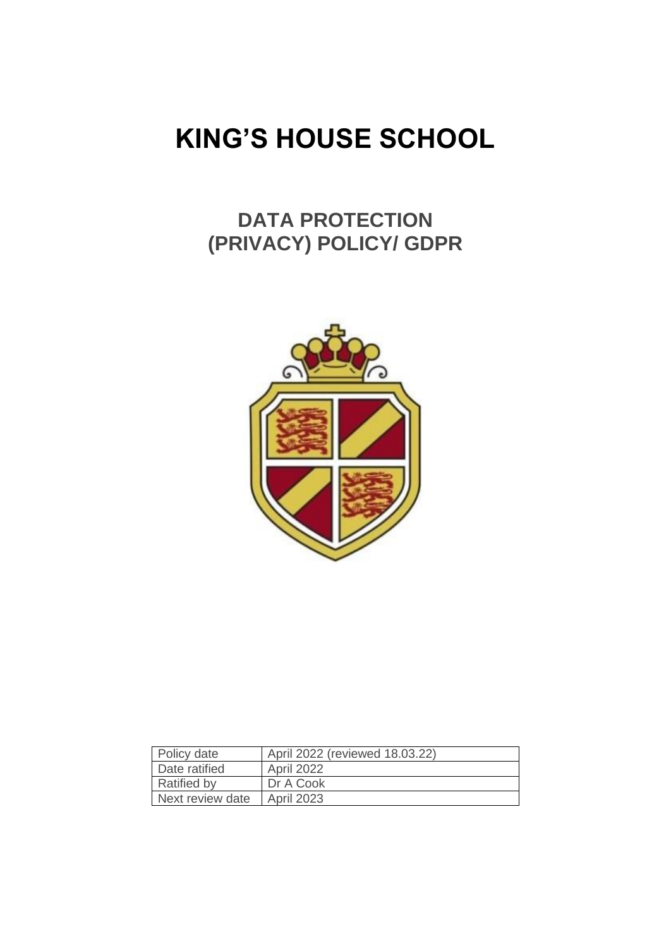# **KING'S HOUSE SCHOOL**

## **DATA PROTECTION (PRIVACY) POLICY/ GDPR**



| Policy date        | April 2022 (reviewed 18.03.22) |
|--------------------|--------------------------------|
| Date ratified      | April 2022                     |
| <b>Ratified by</b> | Dr A Cook                      |
| Next review date   | <b>April 2023</b>              |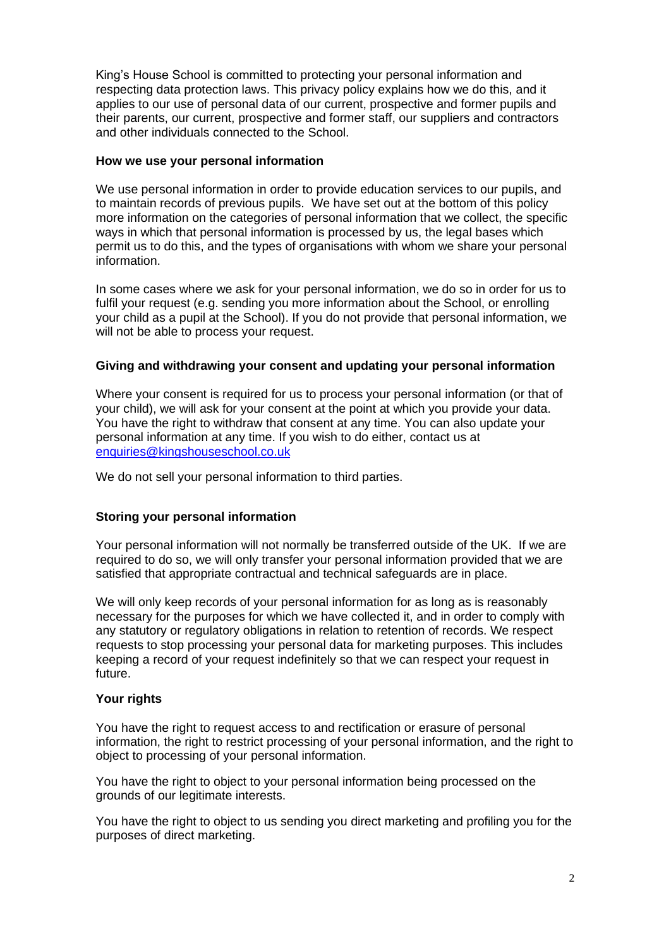King's House School is committed to protecting your personal information and respecting data protection laws. This privacy policy explains how we do this, and it applies to our use of personal data of our current, prospective and former pupils and their parents, our current, prospective and former staff, our suppliers and contractors and other individuals connected to the School.

#### **How we use your personal information**

We use personal information in order to provide education services to our pupils, and to maintain records of previous pupils. We have set out at the bottom of this policy more information on the categories of personal information that we collect, the specific ways in which that personal information is processed by us, the legal bases which permit us to do this, and the types of organisations with whom we share your personal information.

In some cases where we ask for your personal information, we do so in order for us to fulfil your request (e.g. sending you more information about the School, or enrolling your child as a pupil at the School). If you do not provide that personal information, we will not be able to process your request.

#### **Giving and withdrawing your consent and updating your personal information**

Where your consent is required for us to process your personal information (or that of your child), we will ask for your consent at the point at which you provide your data. You have the right to withdraw that consent at any time. You can also update your personal information at any time. If you wish to do either, contact us at [enquiries@kingshouseschool.co.uk](mailto:enquiries@kingshouseschool.co.uk)

We do not sell your personal information to third parties.

#### **Storing your personal information**

Your personal information will not normally be transferred outside of the UK. If we are required to do so, we will only transfer your personal information provided that we are satisfied that appropriate contractual and technical safeguards are in place.

We will only keep records of your personal information for as long as is reasonably necessary for the purposes for which we have collected it, and in order to comply with any statutory or regulatory obligations in relation to retention of records. We respect requests to stop processing your personal data for marketing purposes. This includes keeping a record of your request indefinitely so that we can respect your request in future.

#### **Your rights**

You have the right to request access to and rectification or erasure of personal information, the right to restrict processing of your personal information, and the right to object to processing of your personal information.

You have the right to object to your personal information being processed on the grounds of our legitimate interests.

You have the right to object to us sending you direct marketing and profiling you for the purposes of direct marketing.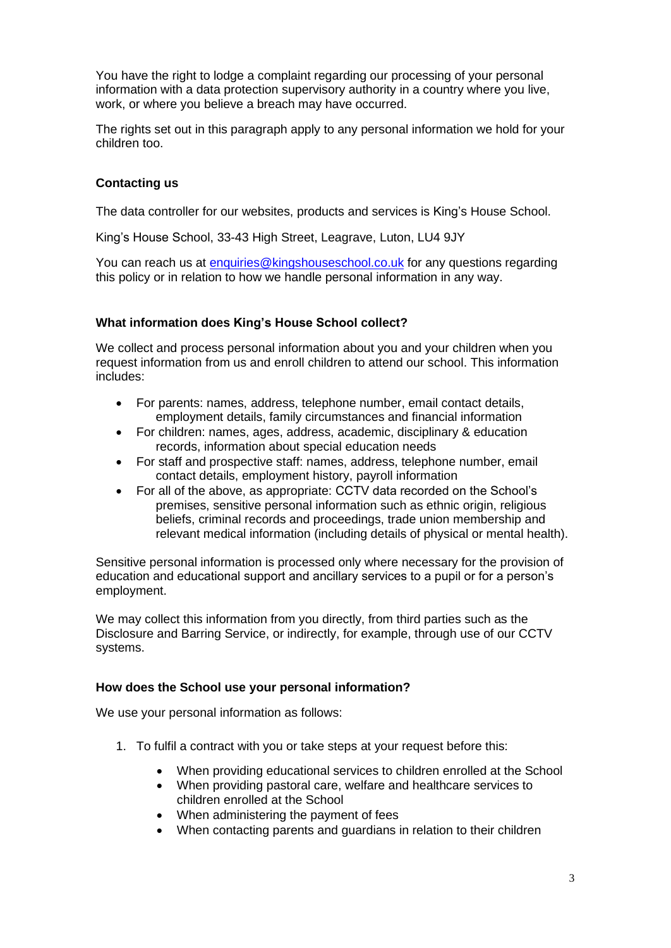You have the right to lodge a complaint regarding our processing of your personal information with a data protection supervisory authority in a country where you live, work, or where you believe a breach may have occurred.

The rights set out in this paragraph apply to any personal information we hold for your children too.

#### **Contacting us**

The data controller for our websites, products and services is King's House School.

King's House School, 33-43 High Street, Leagrave, Luton, LU4 9JY

You can reach us at [enquiries@kingshouseschool.co.uk](mailto:enquiries@kingshouseschool.co.uk) for any questions regarding this policy or in relation to how we handle personal information in any way.

#### **What information does King's House School collect?**

We collect and process personal information about you and your children when you request information from us and enroll children to attend our school. This information includes:

- For parents: names, address, telephone number, email contact details, employment details, family circumstances and financial information
- For children: names, ages, address, academic, disciplinary & education records, information about special education needs
- For staff and prospective staff: names, address, telephone number, email contact details, employment history, payroll information
- For all of the above, as appropriate: CCTV data recorded on the School's premises, sensitive personal information such as ethnic origin, religious beliefs, criminal records and proceedings, trade union membership and relevant medical information (including details of physical or mental health).

Sensitive personal information is processed only where necessary for the provision of education and educational support and ancillary services to a pupil or for a person's employment.

We may collect this information from you directly, from third parties such as the Disclosure and Barring Service, or indirectly, for example, through use of our CCTV systems.

#### **How does the School use your personal information?**

We use your personal information as follows:

- 1. To fulfil a contract with you or take steps at your request before this:
	- When providing educational services to children enrolled at the School
	- When providing pastoral care, welfare and healthcare services to children enrolled at the School
	- When administering the payment of fees
	- When contacting parents and guardians in relation to their children